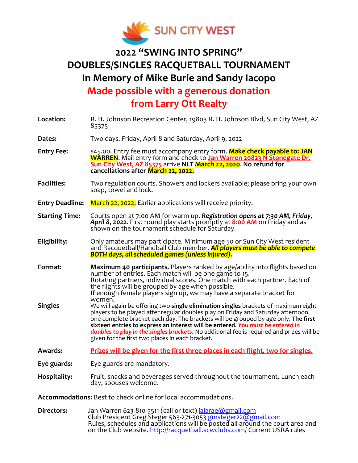

## **2022 "SWING INTO SPRING" DOUBLES/SINGLES RACQUETBALL TOURNAMENT In Memory of Mike Burie and Sandy Iacopo**

**Made possible with a generous donation** 

**from Larry Ott Realty**

| Location:              | R. H. Johnson Recreation Center, 19803 R. H. Johnson Blvd, Sun City West, AZ<br>85375                                                                                                                                                                                                                                                                                                                                                                                                                     |  |  |  |
|------------------------|-----------------------------------------------------------------------------------------------------------------------------------------------------------------------------------------------------------------------------------------------------------------------------------------------------------------------------------------------------------------------------------------------------------------------------------------------------------------------------------------------------------|--|--|--|
| Dates:                 | Two days. Friday, April 8 and Saturday, April 9, 2022                                                                                                                                                                                                                                                                                                                                                                                                                                                     |  |  |  |
| <b>Entry Fee:</b>      | \$45.00. Entry fee must accompany entry form. Make check payable to: JAN<br><b>WARREN.</b> Mail entry form and check to Jan Warren 20823 N Stonegate Dr.<br>Sun City West, AZ 85375 arrive NLT March 22, 2020. No refund for<br>cancellations after March 22, 2022.                                                                                                                                                                                                                                       |  |  |  |
| <b>Facilities:</b>     | Two regulation courts. Showers and lockers available; please bring your own<br>soap, towel and lock.                                                                                                                                                                                                                                                                                                                                                                                                      |  |  |  |
| <b>Entry Deadline:</b> | March 22, 2022. Earlier applications will receive priority.                                                                                                                                                                                                                                                                                                                                                                                                                                               |  |  |  |
| <b>Starting Time:</b>  | Courts open at 7:00 AM for warm up. Registration opens at 7:30 AM, Friday,<br>April 8, 2022. First round play starts promptly at 8:00 AM on Friday and as<br>shown on the tournament schedule for Saturday.                                                                                                                                                                                                                                                                                               |  |  |  |
| Eligibility:           | Only amateurs may participate. Minimum age 50 or Sun City West resident<br>and Racquetball/Handball Club member. All players must be able to compete<br><b>BOTH days, all scheduled games (unless injured).</b>                                                                                                                                                                                                                                                                                           |  |  |  |
|                        |                                                                                                                                                                                                                                                                                                                                                                                                                                                                                                           |  |  |  |
| Format:                | Maximum 40 participants. Players ranked by age/ability into flights based on<br>number of entries. Each match will be one game to 15.<br>Rotating partners, individual scores. One match with each partner. Each of<br>the flights will be grouped by age when possible.<br>If enough female players sign up, we may have a separate bracket for                                                                                                                                                          |  |  |  |
| <b>Singles</b>         | women.<br>We will again be offering two single elimination singles brackets of maximum eight<br>players to be played after regular doubles play on Friday and Saturday afternoon,<br>one complete bracket each day. The brackets will be grouped by age only. The first<br>sixteen entries to express an interest will be entered. You must be entered in<br>doubles to play in the singles brackets. No additional fee is required and prizes will be<br>given for the first two places in each bracket. |  |  |  |
| <b>Awards:</b>         | Prizes will be given for the first three places in each flight, two for singles.                                                                                                                                                                                                                                                                                                                                                                                                                          |  |  |  |
| Eye guards:            | Eye guards are mandatory.                                                                                                                                                                                                                                                                                                                                                                                                                                                                                 |  |  |  |
| <b>Hospitality:</b>    | Fruit, snacks and beverages served throughout the tournament. Lunch each<br>day, spouses welcome.                                                                                                                                                                                                                                                                                                                                                                                                         |  |  |  |

**Directors:** Jan Warren 623-810-5511 (call or text) [jalarae@gmail.com](mailto:jalarae@gmail.com) Club President Greg Steger 563-271-3053 [gmsteger22@gmail.com](mailto:gmsteger22@gmail.com) Rules, schedules and applications will be posted all around the court area and on the Club website. <u>http://racquetball.scwclubs.com/ </u>Current USRA rules